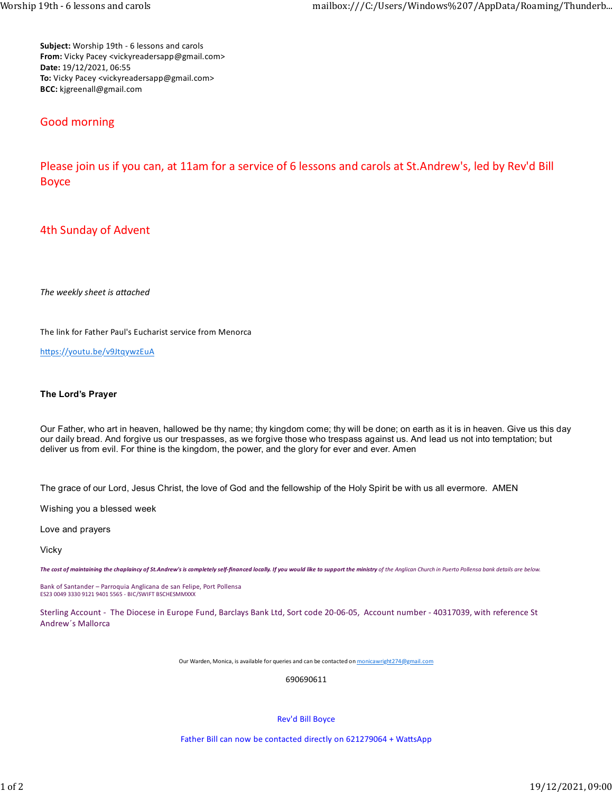Subject: Worship 19th - 6 lessons and carols From: Vicky Pacey <vickyreadersapp@gmail.com> Date: 19/12/2021, 06:55 To: Vicky Pacey <vickyreadersapp@gmail.com> BCC: kjgreenall@gmail.com

## Good morning

Please join us if you can, at 11am for a service of 6 lessons and carols at St.Andrew's, led by Rev'd Bill Boyce

## 4th Sunday of Advent

The weekly sheet is attached

The link for Father Paul's Eucharist service from Menorca

https://youtu.be/v9JtqywzEuA

## The Lord's Prayer

Our Father, who art in heaven, hallowed be thy name; thy kingdom come; thy will be done; on earth as it is in heaven. Give us this day our daily bread. And forgive us our trespasses, as we forgive those who trespass against us. And lead us not into temptation; but deliver us from evil. For thine is the kingdom, the power, and the glory for ever and ever. Amen

The grace of our Lord, Jesus Christ, the love of God and the fellowship of the Holy Spirit be with us all evermore. AMEN

Wishing you a blessed week

Love and prayers

Vicky

The cost of maintaining the chaplaincy of St.Andrew's is completely self-financed locally. If you would like to support the ministry of the Anglican Church in Puerto Pollensa bank details are below.

Bank of Santander – Parroquia Anglicana de san Felipe, Port Pollensa ES23 0049 3330 9121 9401 5565 - BIC/SWIFT BSCHESMMXXX

Sterling Account - The Diocese in Europe Fund, Barclays Bank Ltd, Sort code 20-06-05, Account number - 40317039, with reference St Andrew´s Mallorca

Our Warden, Monica, is available for queries and can be contacted on monicawright274@gmail.com

690690611

Rev'd Bill Boyce

Father Bill can now be contacted directly on 621279064 + WattsApp